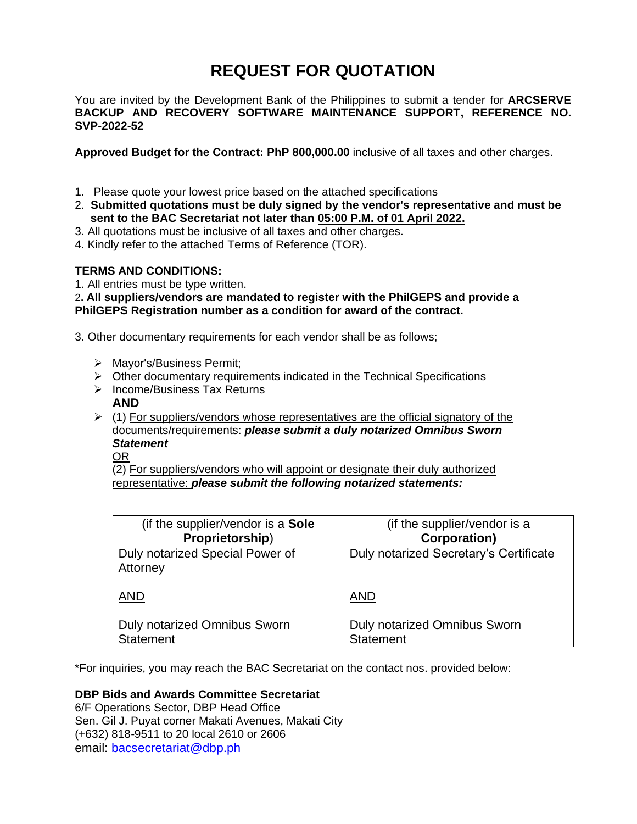# **REQUEST FOR QUOTATION**

You are invited by the Development Bank of the Philippines to submit a tender for **ARCSERVE BACKUP AND RECOVERY SOFTWARE MAINTENANCE SUPPORT, REFERENCE NO. SVP-2022-52**

**Approved Budget for the Contract: PhP 800,000.00** inclusive of all taxes and other charges.

- 1. Please quote your lowest price based on the attached specifications
- 2. **Submitted quotations must be duly signed by the vendor's representative and must be sent to the BAC Secretariat not later than 05:00 P.M. of 01 April 2022.**
- 3. All quotations must be inclusive of all taxes and other charges.
- 4. Kindly refer to the attached Terms of Reference (TOR).

## **TERMS AND CONDITIONS:**

1. All entries must be type written.

2**. All suppliers/vendors are mandated to register with the PhilGEPS and provide a PhilGEPS Registration number as a condition for award of the contract.**

3. Other documentary requirements for each vendor shall be as follows;

- ➢ Mayor's/Business Permit;
- $\triangleright$  Other documentary requirements indicated in the Technical Specifications
- ➢ Income/Business Tax Returns
	- **AND**
- $\triangleright$  (1) For suppliers/vendors whose representatives are the official signatory of the documents/requirements: *please submit a duly notarized Omnibus Sworn Statement*
	- OR

(2) For suppliers/vendors who will appoint or designate their duly authorized representative: *please submit the following notarized statements:*

| (if the supplier/vendor is a Sole           | (if the supplier/vendor is a           |
|---------------------------------------------|----------------------------------------|
| Proprietorship)                             | <b>Corporation)</b>                    |
| Duly notarized Special Power of<br>Attorney | Duly notarized Secretary's Certificate |
| <b>AND</b>                                  | <b>AND</b>                             |
| Duly notarized Omnibus Sworn                | <b>Duly notarized Omnibus Sworn</b>    |
| <b>Statement</b>                            | <b>Statement</b>                       |

\*For inquiries, you may reach the BAC Secretariat on the contact nos. provided below:

# **DBP Bids and Awards Committee Secretariat**

6/F Operations Sector, DBP Head Office Sen. Gil J. Puyat corner Makati Avenues, Makati City (+632) 818-9511 to 20 local 2610 or 2606 email: [bacsecretariat@dbp.ph](mailto:bacsecretariat@dbp.ph)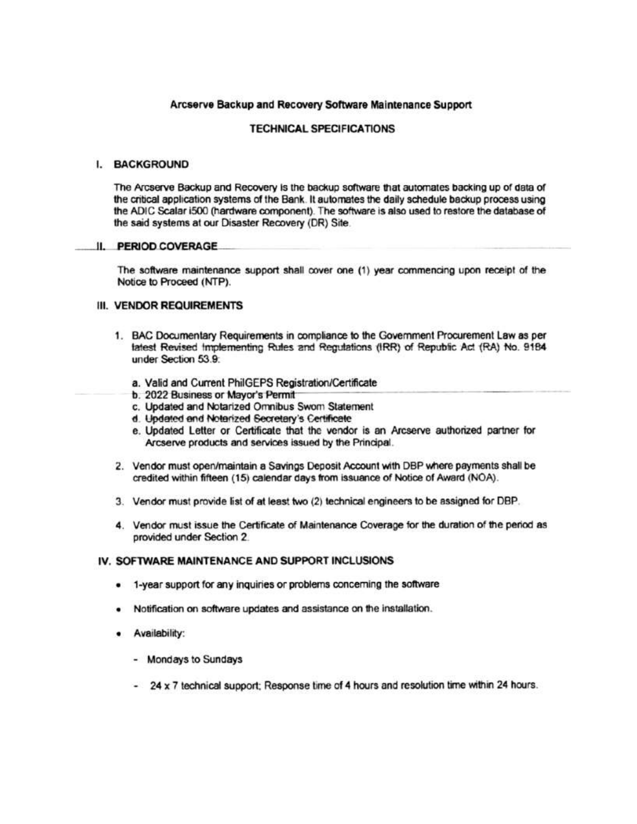## Arcserve Backup and Recovery Software Maintenance Support

## **TECHNICAL SPECIFICATIONS**

#### I. BACKGROUND

The Arcserve Backup and Recovery is the backup software that automates backing up of data of the critical application systems of the Bank. It automates the daily schedule backup process using the ADIC Scalar i500 (hardware component). The software is also used to restore the database of the said systems at our Disaster Recovery (DR) Site.

### **II. PERIOD COVERAGE**

The software maintenance support shall cover one (1) year commencing upon receipt of the Notice to Proceed (NTP).

## III. VENDOR REQUIREMENTS

- 1. BAC Documentary Requirements in compliance to the Government Procurement Law as per latest Revised Implementing Rules and Regulations (IRR) of Republic Act (RA) No. 9184 under Section 53.9:
	- a. Valid and Current PhilGEPS Registration/Certificate
	- b. 2022 Business or Mayor's Permit
	- c. Updated and Notarized Omnibus Swom Statement
	- d. Updated and Notarized Secretary's Certificate
	- e. Updated Letter or Certificate that the vendor is an Arcserve authorized partner for Arcserve products and services issued by the Principal.
- 2. Vendor must open/maintain a Savings Deposit Account with DBP where payments shall be credited within fifteen (15) calendar days from issuance of Notice of Award (NOA).
- 3. Vendor must provide list of at least two (2) technical engineers to be assigned for DBP.
- 4. Vendor must issue the Certificate of Maintenance Coverage for the duration of the period as provided under Section 2

## IV. SOFTWARE MAINTENANCE AND SUPPORT INCLUSIONS

- 1-year support for any inquiries or problems concerning the software
- . Notification on software updates and assistance on the installation.
- · Availability:
	- Mondays to Sundays
	- 24 x 7 technical support: Response time of 4 hours and resolution time within 24 hours.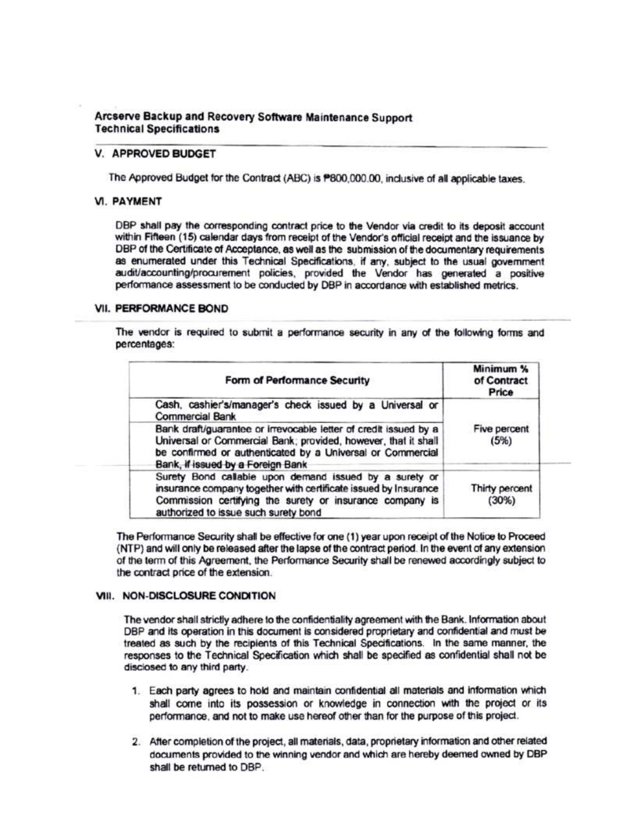## Arcserve Backup and Recovery Software Maintenance Support **Technical Specifications**

## **V. APPROVED BUDGET**

The Approved Budget for the Contract (ABC) is P800,000.00, inclusive of all applicable taxes.

## **VI. PAYMENT**

DBP shall pay the corresponding contract price to the Vendor via credit to its deposit account within Fifteen (15) calendar days from receipt of the Vendor's official receipt and the issuance by DBP of the Certificate of Acceptance, as well as the submission of the documentary requirements as enumerated under this Technical Specifications, if any, subject to the usual government audit/accounting/procurement policies, provided the Vendor has generated a positive performance assessment to be conducted by DBP in accordance with established metrics.

## **VII. PERFORMANCE BOND**

The vendor is required to submit a performance security in any of the following forms and percentages:

| Form of Performance Security                                                                                                                                                                                                          | Minimum %<br>of Contract<br>Price |  |
|---------------------------------------------------------------------------------------------------------------------------------------------------------------------------------------------------------------------------------------|-----------------------------------|--|
| Cash, cashier's/manager's check issued by a Universal or<br><b>Commercial Bank</b>                                                                                                                                                    |                                   |  |
| Bank draft/guarantee or irrevocable letter of credit issued by a<br>Universal or Commercial Bank; provided, however, that it shall<br>be confirmed or authenticated by a Universal or Commercial<br>Bank, if issued by a Foreign Bank | Five percent<br>(5%)              |  |
| Surety Bond callable upon demand issued by a surety or<br>insurance company together with certificate issued by Insurance<br>Commission certifying the surety or insurance company is<br>authorized to issue such surety bond         | Thirty percent<br>(30%)           |  |

The Performance Security shall be effective for one (1) year upon receipt of the Notice to Proceed (NTP) and will only be released after the lapse of the contract period. In the event of any extension of the term of this Agreement, the Performance Security shall be renewed accordingly subject to the contract price of the extension.

## VIII. NON-DISCLOSURE CONDITION

The vendor shall strictly adhere to the confidentiality agreement with the Bank. Information about DBP and its operation in this document is considered proprietary and confidential and must be treated as such by the recipients of this Technical Specifications. In the same manner, the responses to the Technical Specification which shall be specified as confidential shall not be disclosed to any third party.

- 1. Each party agrees to hold and maintain confidential all materials and information which shall come into its possession or knowledge in connection with the project or its performance, and not to make use hereof other than for the purpose of this project.
- 2. After completion of the project, all materials, data, proprietary information and other related documents provided to the winning vendor and which are hereby deemed owned by DBP shall be returned to DBP.